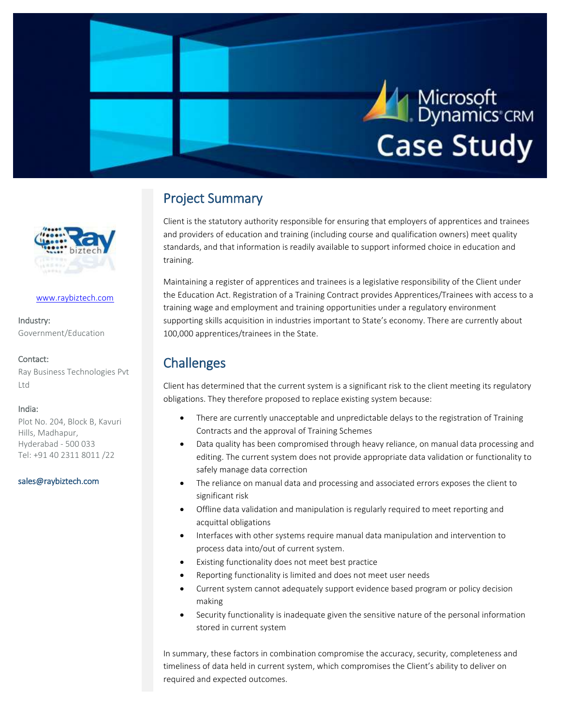

# Project Summary

Client is the statutory authority responsible for ensuring that employers of apprentices and trainees and providers of education and training (including course and qualification owners) meet quality standards, and that information is readily available to support informed choice in education and training.

Maintaining a register of apprentices and trainees is a legislative responsibility of the Client under the Education Act. Registration of a Training Contract provides Apprentices/Trainees with access to a training wage and employment and training opportunities under a regulatory environment supporting skills acquisition in industries important to State's economy. There are currently about 100,000 apprentices/trainees in the State.

## **Challenges**

Client has determined that the current system is a significant risk to the client meeting its regulatory obligations. They therefore proposed to replace existing system because:

- There are currently unacceptable and unpredictable delays to the registration of Training Contracts and the approval of Training Schemes
- Data quality has been compromised through heavy reliance, on manual data processing and editing. The current system does not provide appropriate data validation or functionality to safely manage data correction
- The reliance on manual data and processing and associated errors exposes the client to significant risk
- Offline data validation and manipulation is regularly required to meet reporting and acquittal obligations
- Interfaces with other systems require manual data manipulation and intervention to process data into/out of current system.
- Existing functionality does not meet best practice
- Reporting functionality is limited and does not meet user needs
- Current system cannot adequately support evidence based program or policy decision making
- Security functionality is inadequate given the sensitive nature of the personal information stored in current system

In summary, these factors in combination compromise the accuracy, security, completeness and timeliness of data held in current system, which compromises the Client's ability to deliver on required and expected outcomes.



#### [www.raybiztech.com](http://www.raybiztech.com/)

Industry: Government/Education

#### Contact:

Ray Business Technologies Pvt Ltd

#### India:

Plot No. 204, Block B, Kavuri Hills, Madhapur, Hyderabad - 500 033 Tel: +91 40 2311 8011 /22

[sales@raybiztech.com](mailto:sales@raybiztech.com)